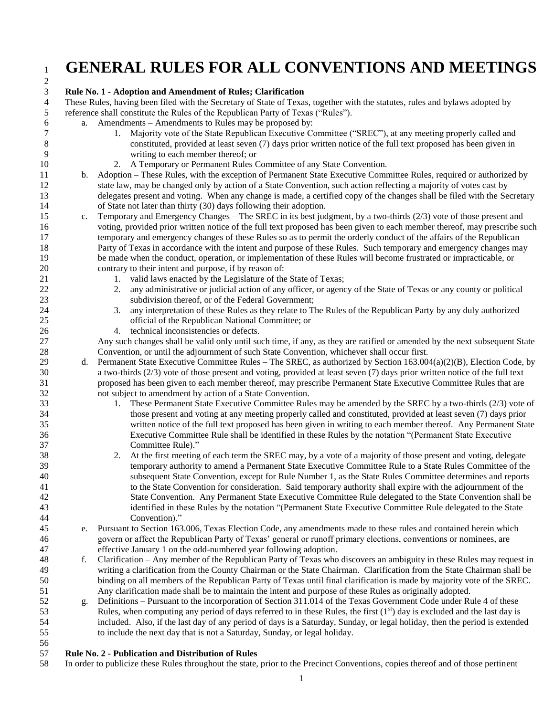# **GENERAL RULES FOR ALL CONVENTIONS AND MEETINGS**

### **Rule No. 1 - Adoption and Amendment of Rules; Clarification** These Rules, having been filed with the Secretary of State of Texas, together with the statutes, rules and bylaws adopted by reference shall constitute the Rules of the Republican Party of Texas ("Rules"). a. Amendments – Amendments to Rules may be proposed by: 1. Majority vote of the State Republican Executive Committee ("SREC"), at any meeting properly called and constituted, provided at least seven (7) days prior written notice of the full text proposed has been given in writing to each member thereof; or 2. A Temporary or Permanent Rules Committee of any State Convention. b. Adoption – These Rules, with the exception of Permanent State Executive Committee Rules, required or authorized by state law, may be changed only by action of a State Convention, such action reflecting a majority of votes cast by delegates present and voting. When any change is made, a certified copy of the changes shall be filed with the Secretary of State not later than thirty (30) days following their adoption. c. Temporary and Emergency Changes – The SREC in its best judgment, by a two-thirds (2/3) vote of those present and voting, provided prior written notice of the full text proposed has been given to each member thereof, may prescribe such temporary and emergency changes of these Rules so as to permit the orderly conduct of the affairs of the Republican Party of Texas in accordance with the intent and purpose of these Rules. Such temporary and emergency changes may be made when the conduct, operation, or implementation of these Rules will become frustrated or impracticable, or contrary to their intent and purpose, if by reason of: 21 1. valid laws enacted by the Legislature of the State of Texas; 2. any administrative or judicial action of any officer, or agency of the State of Texas or any county or political subdivision thereof, or of the Federal Government; 3. any interpretation of these Rules as they relate to The Rules of the Republican Party by any duly authorized official of the Republican National Committee; or 4. technical inconsistencies or defects. Any such changes shall be valid only until such time, if any, as they are ratified or amended by the next subsequent State Convention, or until the adjournment of such State Convention, whichever shall occur first. 29 d. Permanent State Executive Committee Rules – The SREC, as authorized by Section 163.004(a)(2)(B), Election Code, by a two-thirds (2/3) vote of those present and voting, provided at least seven (7) days prior written notice of the full text proposed has been given to each member thereof, may prescribe Permanent State Executive Committee Rules that are not subject to amendment by action of a State Convention. 1. These Permanent State Executive Committee Rules may be amended by the SREC by a two-thirds (2/3) vote of those present and voting at any meeting properly called and constituted, provided at least seven (7) days prior written notice of the full text proposed has been given in writing to each member thereof. Any Permanent State Executive Committee Rule shall be identified in these Rules by the notation "(Permanent State Executive Committee Rule)." 2. At the first meeting of each term the SREC may, by a vote of a majority of those present and voting, delegate temporary authority to amend a Permanent State Executive Committee Rule to a State Rules Committee of the subsequent State Convention, except for Rule Number 1, as the State Rules Committee determines and reports to the State Convention for consideration. Said temporary authority shall expire with the adjournment of the State Convention. Any Permanent State Executive Committee Rule delegated to the State Convention shall be identified in these Rules by the notation "(Permanent State Executive Committee Rule delegated to the State Convention)." e. Pursuant to Section 163.006, Texas Election Code, any amendments made to these rules and contained herein which govern or affect the Republican Party of Texas' general or runoff primary elections, conventions or nominees, are effective January 1 on the odd-numbered year following adoption. f. Clarification – Any member of the Republican Party of Texas who discovers an ambiguity in these Rules may request in writing a clarification from the County Chairman or the State Chairman. Clarification from the State Chairman shall be binding on all members of the Republican Party of Texas until final clarification is made by majority vote of the SREC. Any clarification made shall be to maintain the intent and purpose of these Rules as originally adopted. g. Definitions – Pursuant to the incorporation of Section 311.014 of the Texas Government Code under Rule 4 of these 53 Rules, when computing any period of days referred to in these Rules, the first  $(1<sup>st</sup>)$  day is excluded and the last day is included. Also, if the last day of any period of days is a Saturday, Sunday, or legal holiday, then the period is extended to include the next day that is not a Saturday, Sunday, or legal holiday.

#### 56<br>57 **Rule No. 2 - Publication and Distribution of Rules**

In order to publicize these Rules throughout the state, prior to the Precinct Conventions, copies thereof and of those pertinent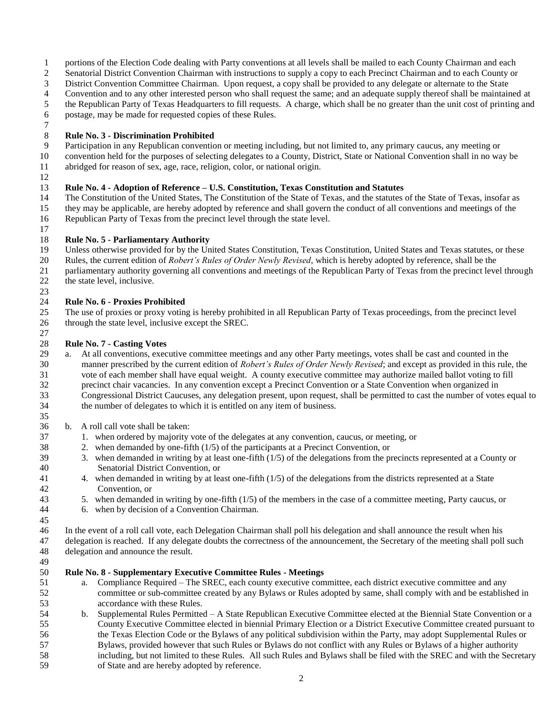- portions of the Election Code dealing with Party conventions at all levels shall be mailed to each County Chairman and each
- Senatorial District Convention Chairman with instructions to supply a copy to each Precinct Chairman and to each County or
- District Convention Committee Chairman. Upon request, a copy shall be provided to any delegate or alternate to the State
- 4 Convention and to any other interested person who shall request the same; and an adequate supply thereof shall be maintained at the Republican Party of Texas Headquarters to fill requests. A charge, which shall be no gre
- the Republican Party of Texas Headquarters to fill requests. A charge, which shall be no greater than the unit cost of printing and
- postage, may be made for requested copies of these Rules.

### **Rule No. 3 - Discrimination Prohibited**

- Participation in any Republican convention or meeting including, but not limited to, any primary caucus, any meeting or
- convention held for the purposes of selecting delegates to a County, District, State or National Convention shall in no way be
- abridged for reason of sex, age, race, religion, color, or national origin.

### **Rule No. 4 - Adoption of Reference – U.S. Constitution, Texas Constitution and Statutes**

 The Constitution of the United States, The Constitution of the State of Texas, and the statutes of the State of Texas, insofar as they may be applicable, are hereby adopted by reference and shall govern the conduct of all conventions and meetings of the Republican Party of Texas from the precinct level through the state level.

- **Rule No. 5 - Parliamentary Authority**
- Unless otherwise provided for by the United States Constitution, Texas Constitution, United States and Texas statutes, or these
- Rules, the current edition of *Robert's Rules of Order Newly Revised*, which is hereby adopted by reference, shall be the
- parliamentary authority governing all conventions and meetings of the Republican Party of Texas from the precinct level through
- 22 the state level, inclusive.

### **Rule No. 6 - Proxies Prohibited**

 The use of proxies or proxy voting is hereby prohibited in all Republican Party of Texas proceedings, from the precinct level through the state level, inclusive except the SREC.

### $\frac{27}{28}$ **Rule No. 7 - Casting Votes**

- a. At all conventions, executive committee meetings and any other Party meetings, votes shall be cast and counted in the manner prescribed by the current edition of *Robert's Rules of Order Newly Revised*; and except as provided in this rule, the vote of each member shall have equal weight. A county executive committee may authorize mailed ballot voting to fill precinct chair vacancies. In any convention except a Precinct Convention or a State Convention when organized in Congressional District Caucuses, any delegation present, upon request, shall be permitted to cast the number of votes equal to the number of delegates to which it is entitled on any item of business.
- b. A roll call vote shall be taken:
- 1. when ordered by majority vote of the delegates at any convention, caucus, or meeting, or
- 2. when demanded by one-fifth (1/5) of the participants at a Precinct Convention, or
- 39 3. when demanded in writing by at least one-fifth  $(1/5)$  of the delegations from the precincts represented at a County or Senatorial District Convention, or
- 4. when demanded in writing by at least one-fifth (1/5) of the delegations from the districts represented at a State Convention, or
- 5. when demanded in writing by one-fifth (1/5) of the members in the case of a committee meeting, Party caucus, or
- 6. when by decision of a Convention Chairman.

 In the event of a roll call vote, each Delegation Chairman shall poll his delegation and shall announce the result when his delegation is reached. If any delegate doubts the correctness of the announcement, the Secretary of the meeting shall poll such delegation and announce the result.

### 49<br>50 **Rule No. 8 - Supplementary Executive Committee Rules - Meetings**

- a. Compliance Required The SREC, each county executive committee, each district executive committee and any committee or sub-committee created by any Bylaws or Rules adopted by same, shall comply with and be established in accordance with these Rules.
- b. Supplemental Rules Permitted A State Republican Executive Committee elected at the Biennial State Convention or a County Executive Committee elected in biennial Primary Election or a District Executive Committee created pursuant to the Texas Election Code or the Bylaws of any political subdivision within the Party, may adopt Supplemental Rules or Bylaws, provided however that such Rules or Bylaws do not conflict with any Rules or Bylaws of a higher authority including, but not limited to these Rules. All such Rules and Bylaws shall be filed with the SREC and with the Secretary
- of State and are hereby adopted by reference.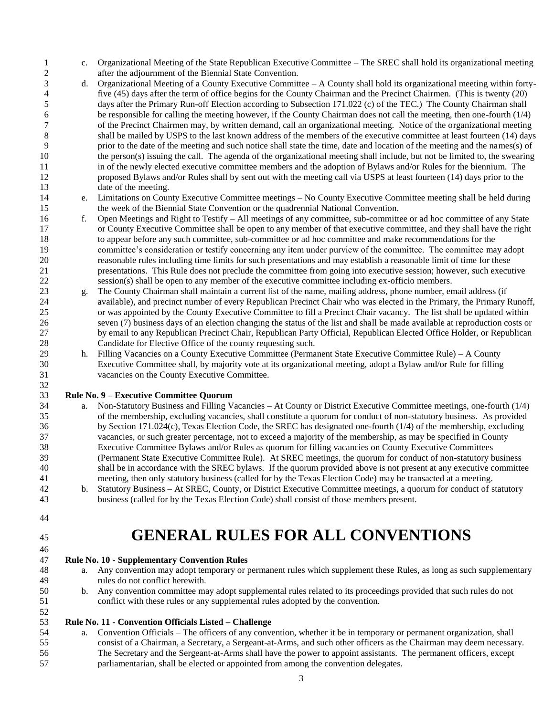- c. Organizational Meeting of the State Republican Executive Committee The SREC shall hold its organizational meeting after the adjournment of the Biennial State Convention.
- d. Organizational Meeting of a County Executive Committee A County shall hold its organizational meeting within forty-4 five (45) days after the term of office begins for the County Chairman and the Precinct Chairmen. (This is twenty (20) days after the Primary Run-off Election according to Subsection 171.022 (c) of the TEC.) The County C days after the Primary Run-off Election according to Subsection 171.022 (c) of the TEC.) The County Chairman shall 6 be responsible for calling the meeting however, if the County Chairman does not call the meeting, then one-fourth (1/4)<br>6 of the Precinct Chairmen may, by written demand, call an organizational meeting. Notice of the org of the Precinct Chairmen may, by written demand, call an organizational meeting. Notice of the organizational meeting 8 shall be mailed by USPS to the last known address of the members of the executive committee at least fourteen (14) days prior to the date of the meeting and such notice shall state the time, date and location of the meeting and the names(s) of the person(s) issuing the call. The agenda of the organizational meeting shall include, but not be limited to, the swearing in of the newly elected executive committee members and the adoption of Bylaws and/or Rules for the biennium. The proposed Bylaws and/or Rules shall by sent out with the meeting call via USPS at least fourteen (14) days prior to the 13 date of the meeting.
- e. Limitations on County Executive Committee meetings No County Executive Committee meeting shall be held during the week of the Biennial State Convention or the quadrennial National Convention.
- f. Open Meetings and Right to Testify All meetings of any committee, sub-committee or ad hoc committee of any State or County Executive Committee shall be open to any member of that executive committee, and they shall have the right to appear before any such committee, sub-committee or ad hoc committee and make recommendations for the committee's consideration or testify concerning any item under purview of the committee. The committee may adopt reasonable rules including time limits for such presentations and may establish a reasonable limit of time for these presentations. This Rule does not preclude the committee from going into executive session; however, such executive session(s) shall be open to any member of the executive committee including ex-officio members.
- g. The County Chairman shall maintain a current list of the name, mailing address, phone number, email address (if available), and precinct number of every Republican Precinct Chair who was elected in the Primary, the Primary Runoff, or was appointed by the County Executive Committee to fill a Precinct Chair vacancy. The list shall be updated within seven (7) business days of an election changing the status of the list and shall be made available at reproduction costs or by email to any Republican Precinct Chair, Republican Party Official, Republican Elected Office Holder, or Republican Candidate for Elective Office of the county requesting such.
- h. Filling Vacancies on a County Executive Committee (Permanent State Executive Committee Rule) A County Executive Committee shall, by majority vote at its organizational meeting, adopt a Bylaw and/or Rule for filling vacancies on the County Executive Committee.

### **Rule No. 9 – Executive Committee Quorum**

- a. Non-Statutory Business and Filling Vacancies At County or District Executive Committee meetings, one-fourth (1/4) of the membership, excluding vacancies, shall constitute a quorum for conduct of non-statutory business. As provided by Section 171.024(c), Texas Election Code, the SREC has designated one-fourth (1/4) of the membership, excluding vacancies, or such greater percentage, not to exceed a majority of the membership, as may be specified in County Executive Committee Bylaws and/or Rules as quorum for filling vacancies on County Executive Committees (Permanent State Executive Committee Rule). At SREC meetings, the quorum for conduct of non-statutory business shall be in accordance with the SREC bylaws. If the quorum provided above is not present at any executive committee meeting, then only statutory business (called for by the Texas Election Code) may be transacted at a meeting. b. Statutory Business – At SREC, County, or District Executive Committee meetings, a quorum for conduct of statutory
- business (called for by the Texas Election Code) shall consist of those members present.
- 

# **GENERAL RULES FOR ALL CONVENTIONS**

### **Rule No. 10 - Supplementary Convention Rules**

- a. Any convention may adopt temporary or permanent rules which supplement these Rules, as long as such supplementary rules do not conflict herewith.
- b. Any convention committee may adopt supplemental rules related to its proceedings provided that such rules do not conflict with these rules or any supplemental rules adopted by the convention.

### **Rule No. 11 - Convention Officials Listed – Challenge**

 a. Convention Officials – The officers of any convention, whether it be in temporary or permanent organization, shall consist of a Chairman, a Secretary, a Sergeant-at-Arms, and such other officers as the Chairman may deem necessary. The Secretary and the Sergeant-at-Arms shall have the power to appoint assistants. The permanent officers, except parliamentarian, shall be elected or appointed from among the convention delegates.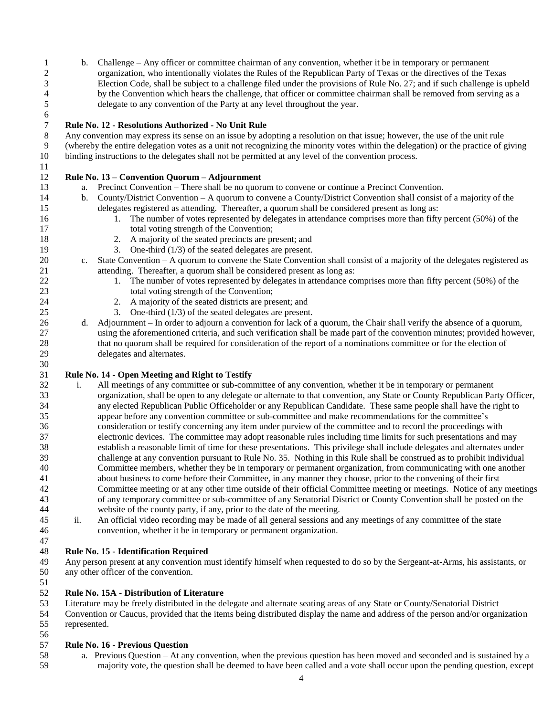b. Challenge – Any officer or committee chairman of any convention, whether it be in temporary or permanent organization, who intentionally violates the Rules of the Republican Party of Texas or the directives of the Texas Election Code, shall be subject to a challenge filed under the provisions of Rule No. 27; and if such challenge is upheld 4 by the Convention which hears the challenge, that officer or committee chairman shall be removed from serving as a delegate to any convention of the Party at any level throughout the year. delegate to any convention of the Party at any level throughout the year.

### **Rule No. 12 - Resolutions Authorized - No Unit Rule**

 Any convention may express its sense on an issue by adopting a resolution on that issue; however, the use of the unit rule (whereby the entire delegation votes as a unit not recognizing the minority votes within the delegation) or the practice of giving binding instructions to the delegates shall not be permitted at any level of the convention process.

- **Rule No. 13 – Convention Quorum – Adjournment**
- a. Precinct Convention There shall be no quorum to convene or continue a Precinct Convention.
- b. County/District Convention A quorum to convene a County/District Convention shall consist of a majority of the
- delegates registered as attending. Thereafter, a quorum shall be considered present as long as:
- 16 16 1. The number of votes represented by delegates in attendance comprises more than fifty percent (50%) of the 17 total voting strength of the Convention;
- 2. A majority of the seated precincts are present; and
- 3. One-third (1/3) of the seated delegates are present.
- c. State Convention A quorum to convene the State Convention shall consist of a majority of the delegates registered as attending. Thereafter, a quorum shall be considered present as long as:
- 22 1. The number of votes represented by delegates in attendance comprises more than fifty percent (50%) of the total voting strength of the Convention;
- 2. A majority of the seated districts are present; and
- 3. One-third (1/3) of the seated delegates are present.
- d. Adjournment In order to adjourn a convention for lack of a quorum, the Chair shall verify the absence of a quorum, using the aforementioned criteria, and such verification shall be made part of the convention minutes; provided however, that no quorum shall be required for consideration of the report of a nominations committee or for the election of delegates and alternates.

### **Rule No. 14 - Open Meeting and Right to Testify**

- i. All meetings of any committee or sub-committee of any convention, whether it be in temporary or permanent organization, shall be open to any delegate or alternate to that convention, any State or County Republican Party Officer, any elected Republican Public Officeholder or any Republican Candidate. These same people shall have the right to appear before any convention committee or sub-committee and make recommendations for the committee's consideration or testify concerning any item under purview of the committee and to record the proceedings with electronic devices. The committee may adopt reasonable rules including time limits for such presentations and may establish a reasonable limit of time for these presentations. This privilege shall include delegates and alternates under challenge at any convention pursuant to Rule No. 35. Nothing in this Rule shall be construed as to prohibit individual Committee members, whether they be in temporary or permanent organization, from communicating with one another about business to come before their Committee, in any manner they choose, prior to the convening of their first Committee meeting or at any other time outside of their official Committee meeting or meetings. Notice of any meetings of any temporary committee or sub-committee of any Senatorial District or County Convention shall be posted on the website of the county party, if any, prior to the date of the meeting.
- ii. An official video recording may be made of all general sessions and any meetings of any committee of the state
- convention, whether it be in temporary or permanent organization.

### **Rule No. 15 - Identification Required**

 Any person present at any convention must identify himself when requested to do so by the Sergeant-at-Arms, his assistants, or any other officer of the convention.

- **Rule No. 15A - Distribution of Literature**
- Literature may be freely distributed in the delegate and alternate seating areas of any State or County/Senatorial District

 Convention or Caucus, provided that the items being distributed display the name and address of the person and/or organization represented.

### **Rule No. 16 - Previous Question**

 a. Previous Question – At any convention, when the previous question has been moved and seconded and is sustained by a majority vote, the question shall be deemed to have been called and a vote shall occur upon the pending question, except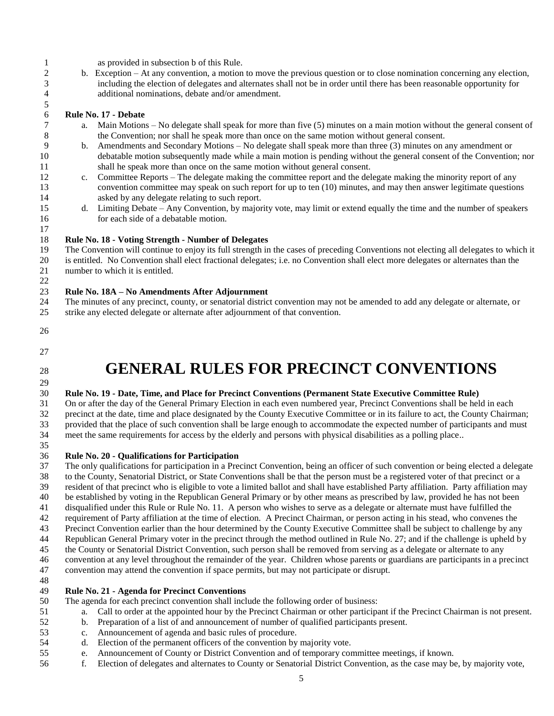- as provided in subsection b of this Rule.
- b. Exception At any convention, a motion to move the previous question or to close nomination concerning any election, including the election of delegates and alternates shall not be in order until there has been reasonable opportunity for additional nominations, debate and/or amendment.

# **Rule No. 17 - Debate**

- a. Main Motions No delegate shall speak for more than five (5) minutes on a main motion without the general consent of the Convention; nor shall he speak more than once on the same motion without general consent.
- b. Amendments and Secondary Motions No delegate shall speak more than three (3) minutes on any amendment or debatable motion subsequently made while a main motion is pending without the general consent of the Convention; nor shall he speak more than once on the same motion without general consent.
- c. Committee Reports The delegate making the committee report and the delegate making the minority report of any convention committee may speak on such report for up to ten (10) minutes, and may then answer legitimate questions asked by any delegate relating to such report.
- d. Limiting Debate Any Convention, by majority vote, may limit or extend equally the time and the number of speakers for each side of a debatable motion.

#### **Rule No. 18 - Voting Strength - Number of Delegates**

 The Convention will continue to enjoy its full strength in the cases of preceding Conventions not electing all delegates to which it is entitled. No Convention shall elect fractional delegates; i.e. no Convention shall elect more delegates or alternates than the 21 number to which it is entitled.

### **Rule No. 18A – No Amendments After Adjournment**

- The minutes of any precinct, county, or senatorial district convention may not be amended to add any delegate or alternate, or
- strike any elected delegate or alternate after adjournment of that convention.
- 

 $\frac{5}{6}$ 

- 
- 

# **GENERAL RULES FOR PRECINCT CONVENTIONS**

### **Rule No. 19 - Date, Time, and Place for Precinct Conventions (Permanent State Executive Committee Rule)**

 On or after the day of the General Primary Election in each even numbered year, Precinct Conventions shall be held in each precinct at the date, time and place designated by the County Executive Committee or in its failure to act, the County Chairman; provided that the place of such convention shall be large enough to accommodate the expected number of participants and must meet the same requirements for access by the elderly and persons with physical disabilities as a polling place..

- 
- **Rule No. 20 - Qualifications for Participation**

 The only qualifications for participation in a Precinct Convention, being an officer of such convention or being elected a delegate to the County, Senatorial District, or State Conventions shall be that the person must be a registered voter of that precinct or a

resident of that precinct who is eligible to vote a limited ballot and shall have established Party affiliation. Party affiliation may

- be established by voting in the Republican General Primary or by other means as prescribed by law, provided he has not been
- disqualified under this Rule or Rule No. 11. A person who wishes to serve as a delegate or alternate must have fulfilled the
- requirement of Party affiliation at the time of election. A Precinct Chairman, or person acting in his stead, who convenes the
- Precinct Convention earlier than the hour determined by the County Executive Committee shall be subject to challenge by any
- Republican General Primary voter in the precinct through the method outlined in Rule No. 27; and if the challenge is upheld by
- the County or Senatorial District Convention, such person shall be removed from serving as a delegate or alternate to any
- convention at any level throughout the remainder of the year. Children whose parents or guardians are participants in a precinct
- convention may attend the convention if space permits, but may not participate or disrupt.

### **Rule No. 21 - Agenda for Precinct Conventions**

The agenda for each precinct convention shall include the following order of business:

- a. Call to order at the appointed hour by the Precinct Chairman or other participant if the Precinct Chairman is not present.
- b. Preparation of a list of and announcement of number of qualified participants present.
- c. Announcement of agenda and basic rules of procedure.
- d. Election of the permanent officers of the convention by majority vote.
- e. Announcement of County or District Convention and of temporary committee meetings, if known.
- f. Election of delegates and alternates to County or Senatorial District Convention, as the case may be, by majority vote,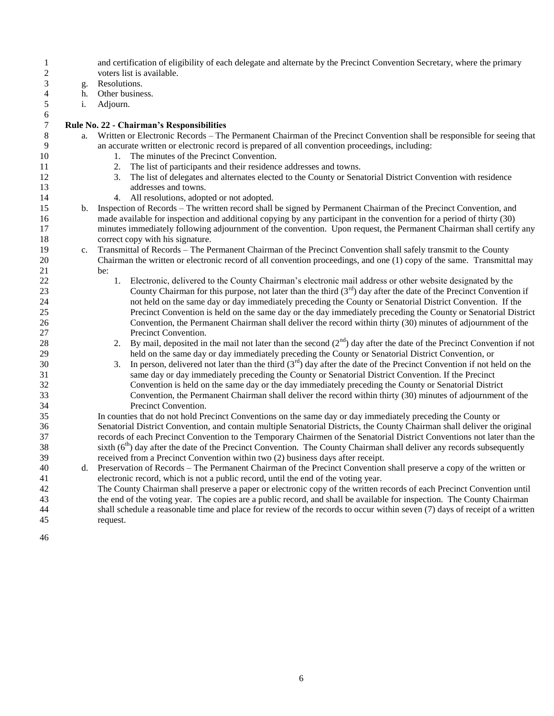| $\mathbf{1}$<br>$\overline{2}$ |    | and certification of eligibility of each delegate and alternate by the Precinct Convention Secretary, where the primary<br>voters list is available. |
|--------------------------------|----|------------------------------------------------------------------------------------------------------------------------------------------------------|
| $\mathfrak{Z}$                 | g. | Resolutions.                                                                                                                                         |
| $\overline{4}$                 | h. | Other business.                                                                                                                                      |
| $\sqrt{5}$                     | i. | Adjourn.                                                                                                                                             |
| 6                              |    |                                                                                                                                                      |
| $\overline{7}$                 |    | Rule No. 22 - Chairman's Responsibilities                                                                                                            |
| 8                              | a. | Written or Electronic Records – The Permanent Chairman of the Precinct Convention shall be responsible for seeing that                               |
| 9                              |    | an accurate written or electronic record is prepared of all convention proceedings, including:                                                       |
| 10                             |    | 1. The minutes of the Precinct Convention.                                                                                                           |
| 11                             |    | 2. The list of participants and their residence addresses and towns.                                                                                 |
| 12                             |    | The list of delegates and alternates elected to the County or Senatorial District Convention with residence<br>3.                                    |
| 13                             |    | addresses and towns.                                                                                                                                 |
| 14                             |    | 4. All resolutions, adopted or not adopted.                                                                                                          |
| 15                             | b. | Inspection of Records – The written record shall be signed by Permanent Chairman of the Precinct Convention, and                                     |
| 16                             |    | made available for inspection and additional copying by any participant in the convention for a period of thirty (30)                                |
| 17                             |    | minutes immediately following adjournment of the convention. Upon request, the Permanent Chairman shall certify any                                  |
| 18                             |    | correct copy with his signature.                                                                                                                     |
| 19                             | c. | Transmittal of Records - The Permanent Chairman of the Precinct Convention shall safely transmit to the County                                       |
| 20                             |    | Chairman the written or electronic record of all convention proceedings, and one (1) copy of the same. Transmittal may                               |
| 21                             |    | be:                                                                                                                                                  |
| $\overline{22}$                |    | Electronic, delivered to the County Chairman's electronic mail address or other website designated by the<br>1.                                      |
| 23                             |    | County Chairman for this purpose, not later than the third $(3rd)$ day after the date of the Precinct Convention if                                  |
| 24                             |    | not held on the same day or day immediately preceding the County or Senatorial District Convention. If the                                           |
| 25                             |    | Precinct Convention is held on the same day or the day immediately preceding the County or Senatorial District                                       |
| 26                             |    | Convention, the Permanent Chairman shall deliver the record within thirty (30) minutes of adjournment of the                                         |
| 27                             |    | Precinct Convention.                                                                                                                                 |
| 28                             |    | 2. By mail, deposited in the mail not later than the second $(2^{nd})$ day after the date of the Precinct Convention if not                          |
| 29                             |    | held on the same day or day immediately preceding the County or Senatorial District Convention, or                                                   |
| 30                             |    | In person, delivered not later than the third $(3^{rd})$ day after the date of the Precinct Convention if not held on the<br>3.                      |
| 31                             |    | same day or day immediately preceding the County or Senatorial District Convention. If the Precinct                                                  |
| 32                             |    | Convention is held on the same day or the day immediately preceding the County or Senatorial District                                                |
| 33                             |    | Convention, the Permanent Chairman shall deliver the record within thirty (30) minutes of adjournment of the                                         |
| 34                             |    | Precinct Convention.                                                                                                                                 |
| 35                             |    | In counties that do not hold Precinct Conventions on the same day or day immediately preceding the County or                                         |
| 36                             |    | Senatorial District Convention, and contain multiple Senatorial Districts, the County Chairman shall deliver the original                            |
| 37                             |    | records of each Precinct Convention to the Temporary Chairmen of the Senatorial District Conventions not later than the                              |
| 38                             |    | sixth $(6th)$ day after the date of the Precinct Convention. The County Chairman shall deliver any records subsequently                              |
| 39                             |    | received from a Precinct Convention within two (2) business days after receipt.                                                                      |
| 40                             | d. | Preservation of Records – The Permanent Chairman of the Precinct Convention shall preserve a copy of the written or                                  |
| 41                             |    | electronic record, which is not a public record, until the end of the voting year.                                                                   |
| 42                             |    | The County Chairman shall preserve a paper or electronic copy of the written records of each Precinct Convention until                               |
| 43                             |    | the end of the voting year. The copies are a public record, and shall be available for inspection. The County Chairman                               |
| 44                             |    | shall schedule a reasonable time and place for review of the records to occur within seven (7) days of receipt of a written                          |
| 45                             |    | request.                                                                                                                                             |
|                                |    |                                                                                                                                                      |
| 46                             |    |                                                                                                                                                      |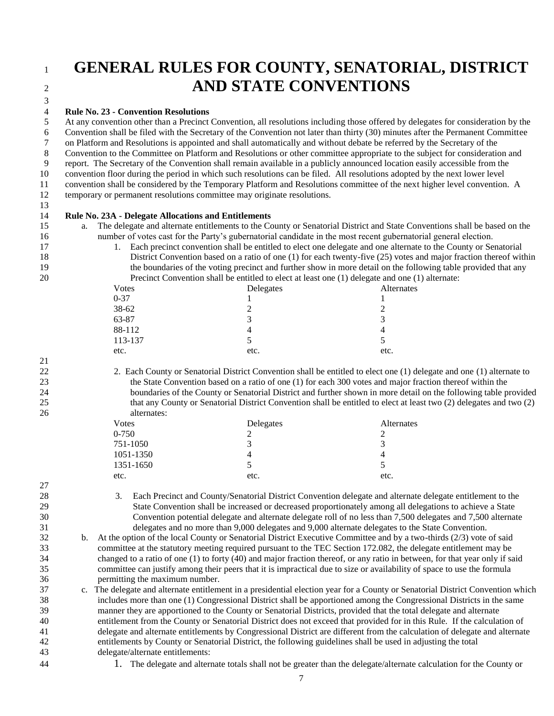### **GENERAL RULES FOR COUNTY, SENATORIAL, DISTRICT AND STATE CONVENTIONS**

### **Rule No. 23 - Convention Resolutions**

 At any convention other than a Precinct Convention, all resolutions including those offered by delegates for consideration by the Convention shall be filed with the Secretary of the Convention not later than thirty (30) minutes after the Permanent Committee on Platform and Resolutions is appointed and shall automatically and without debate be referred by the Secretary of the Convention to the Committee on Platform and Resolutions or other committee appropriate to the subject for consideration and report. The Secretary of the Convention shall remain available in a publicly announced location easily accessible from the convention floor during the period in which such resolutions can be filed. All resolutions adopted by the next lower level convention shall be considered by the Temporary Platform and Resolutions committee of the next higher level convention. A temporary or permanent resolutions committee may originate resolutions. 

### **Rule No. 23A - Delegate Allocations and Entitlements**

- a. The delegate and alternate entitlements to the County or Senatorial District and State Conventions shall be based on the number of votes cast for the Party's gubernatorial candidate in the most recent gubernatorial general election.
- 17 1. Each precinct convention shall be entitled to elect one delegate and one alternate to the County or Senatorial District Convention based on a ratio of one (1) for each twenty-five (25) votes and major fraction thereof within the boundaries of the voting precinct and further show in more detail on the following table provided that any Precinct Convention shall be entitled to elect at least one (1) delegate and one (1) alternate:

| Votes    | Delegates | Alternates |
|----------|-----------|------------|
| $0 - 37$ |           |            |
| 38-62    |           |            |
| 63-87    |           | 2          |
| 88-112   |           | 4          |
| 113-137  |           |            |
| etc.     | etc.      | etc.       |

 2. Each County or Senatorial District Convention shall be entitled to elect one (1) delegate and one (1) alternate to the State Convention based on a ratio of one (1) for each 300 votes and major fraction thereof within the boundaries of the County or Senatorial District and further shown in more detail on the following table provided that any County or Senatorial District Convention shall be entitled to elect at least two (2) delegates and two (2) alternates:

| Votes     | Delegates | Alternates |
|-----------|-----------|------------|
| 0-750     |           |            |
| 751-1050  |           | 3          |
| 1051-1350 |           | 4          |
| 1351-1650 |           |            |
| etc.      | etc.      | etc.       |
|           |           |            |

 3. Each Precinct and County/Senatorial District Convention delegate and alternate delegate entitlement to the State Convention shall be increased or decreased proportionately among all delegations to achieve a State Convention potential delegate and alternate delegate roll of no less than 7,500 delegates and 7,500 alternate delegates and no more than 9,000 delegates and 9,000 alternate delegates to the State Convention.

 b. At the option of the local County or Senatorial District Executive Committee and by a two-thirds (2/3) vote of said committee at the statutory meeting required pursuant to the TEC Section 172.082, the delegate entitlement may be changed to a ratio of one (1) to forty (40) and major fraction thereof, or any ratio in between, for that year only if said committee can justify among their peers that it is impractical due to size or availability of space to use the formula permitting the maximum number.

 c. The delegate and alternate entitlement in a presidential election year for a County or Senatorial District Convention which includes more than one (1) Congressional District shall be apportioned among the Congressional Districts in the same manner they are apportioned to the County or Senatorial Districts, provided that the total delegate and alternate entitlement from the County or Senatorial District does not exceed that provided for in this Rule. If the calculation of delegate and alternate entitlements by Congressional District are different from the calculation of delegate and alternate entitlements by County or Senatorial District, the following guidelines shall be used in adjusting the total delegate/alternate entitlements:

- 
- 1. The delegate and alternate totals shall not be greater than the delegate/alternate calculation for the County or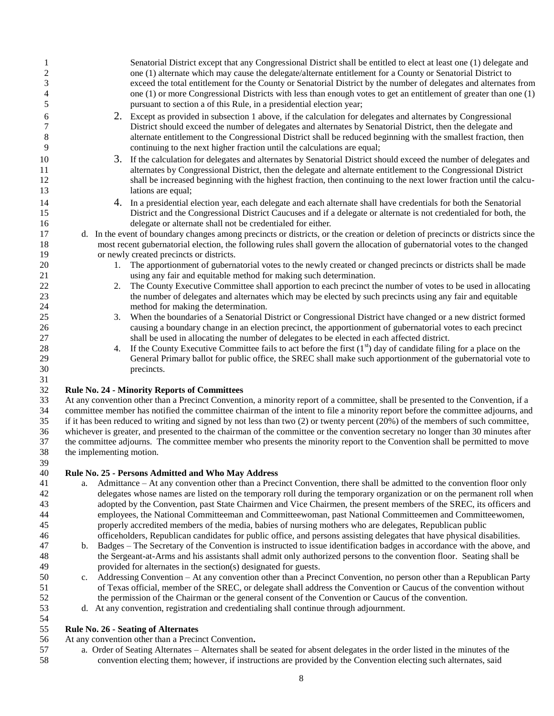| $\mathbf{1}$   |                          | Senatorial District except that any Congressional District shall be entitled to elect at least one (1) delegate and                                                                     |
|----------------|--------------------------|-----------------------------------------------------------------------------------------------------------------------------------------------------------------------------------------|
| $\overline{c}$ |                          | one (1) alternate which may cause the delegate/alternate entitlement for a County or Senatorial District to                                                                             |
| 3              |                          | exceed the total entitlement for the County or Senatorial District by the number of delegates and alternates from                                                                       |
| $\overline{4}$ |                          | one (1) or more Congressional Districts with less than enough votes to get an entitlement of greater than one (1)                                                                       |
| 5              |                          | pursuant to section a of this Rule, in a presidential election year;                                                                                                                    |
| 6              |                          | 2. Except as provided in subsection 1 above, if the calculation for delegates and alternates by Congressional                                                                           |
| 7              |                          | District should exceed the number of delegates and alternates by Senatorial District, then the delegate and                                                                             |
| 8              |                          | alternate entitlement to the Congressional District shall be reduced beginning with the smallest fraction, then                                                                         |
| 9              |                          | continuing to the next higher fraction until the calculations are equal;                                                                                                                |
| 10             |                          | 3. If the calculation for delegates and alternates by Senatorial District should exceed the number of delegates and                                                                     |
| 11             |                          | alternates by Congressional District, then the delegate and alternate entitlement to the Congressional District                                                                         |
| 12             |                          | shall be increased beginning with the highest fraction, then continuing to the next lower fraction until the calcu-                                                                     |
| 13             |                          | lations are equal;                                                                                                                                                                      |
| 14             |                          | 4. In a presidential election year, each delegate and each alternate shall have credentials for both the Senatorial                                                                     |
| 15             |                          | District and the Congressional District Caucuses and if a delegate or alternate is not credentialed for both, the                                                                       |
| 16             |                          | delegate or alternate shall not be credentialed for either.                                                                                                                             |
| 17             |                          | d. In the event of boundary changes among precincts or districts, or the creation or deletion of precincts or districts since the                                                       |
| 18             |                          | most recent gubernatorial election, the following rules shall govern the allocation of gubernatorial votes to the changed                                                               |
| 19             |                          | or newly created precincts or districts.                                                                                                                                                |
| 20             |                          | 1. The apportionment of gubernatorial votes to the newly created or changed precincts or districts shall be made                                                                        |
| 21             |                          | using any fair and equitable method for making such determination.                                                                                                                      |
| 22             | 2.                       | The County Executive Committee shall apportion to each precinct the number of votes to be used in allocating                                                                            |
| 23             |                          | the number of delegates and alternates which may be elected by such precincts using any fair and equitable                                                                              |
| 24             |                          | method for making the determination.                                                                                                                                                    |
| 25             | 3.                       | When the boundaries of a Senatorial District or Congressional District have changed or a new district formed                                                                            |
| 26             |                          | causing a boundary change in an election precinct, the apportionment of gubernatorial votes to each precinct                                                                            |
| 27             |                          | shall be used in allocating the number of delegates to be elected in each affected district.                                                                                            |
| 28             | 4.                       | If the County Executive Committee fails to act before the first $(1st)$ day of candidate filing for a place on the                                                                      |
| 29             |                          | General Primary ballot for public office, the SREC shall make such apportionment of the gubernatorial vote to                                                                           |
| 30             |                          | precincts.                                                                                                                                                                              |
| 31             |                          |                                                                                                                                                                                         |
| 32<br>33       |                          | <b>Rule No. 24 - Minority Reports of Committees</b><br>At any convention other than a Precinct Convention, a minority report of a committee, shall be presented to the Convention, if a |
| 34             |                          | committee member has notified the committee chairman of the intent to file a minority report before the committee adjourns, and                                                         |
| 35             |                          | if it has been reduced to writing and signed by not less than two $(2)$ or twenty percent $(20%)$ of the members of such committee,                                                     |
| 36             |                          | whichever is greater, and presented to the chairman of the committee or the convention secretary no longer than 30 minutes after                                                        |
| 37             |                          | the committee adjourns. The committee member who presents the minority report to the Convention shall be permitted to move                                                              |
| 38             | the implementing motion. |                                                                                                                                                                                         |
| 39             |                          |                                                                                                                                                                                         |
| 40             |                          | Rule No. 25 - Persons Admitted and Who May Address                                                                                                                                      |
| 41             | a.                       | Admittance – At any convention other than a Precinct Convention, there shall be admitted to the convention floor only                                                                   |
| 42             |                          | delegates whose names are listed on the temporary roll during the temporary organization or on the permanent roll when                                                                  |
| 43             |                          | adopted by the Convention, past State Chairmen and Vice Chairmen, the present members of the SREC, its officers and                                                                     |
| 44             |                          | employees, the National Committeeman and Committeewoman, past National Committeemen and Committeewomen,                                                                                 |

- properly accredited members of the media, babies of nursing mothers who are delegates, Republican public
- officeholders, Republican candidates for public office, and persons assisting delegates that have physical disabilities. b. Badges – The Secretary of the Convention is instructed to issue identification badges in accordance with the above, and the Sergeant-at-Arms and his assistants shall admit only authorized persons to the convention floor. Seating shall be
- 49 provided for alternates in the section(s) designated for guests.<br>50 c. Addressing Convention At any convention other than a Prec c. Addressing Convention – At any convention other than a Precinct Convention, no person other than a Republican Party of Texas official, member of the SREC, or delegate shall address the Convention or Caucus of the convention without the permission of the Chairman or the general consent of the Convention or Caucus of the convention.
- d. At any convention, registration and credentialing shall continue through adjournment.

### **Rule No. 26 - Seating of Alternates**

- At any convention other than a Precinct Convention**.**
- a. Order of Seating Alternates Alternates shall be seated for absent delegates in the order listed in the minutes of the convention electing them; however, if instructions are provided by the Convention electing such alternates, said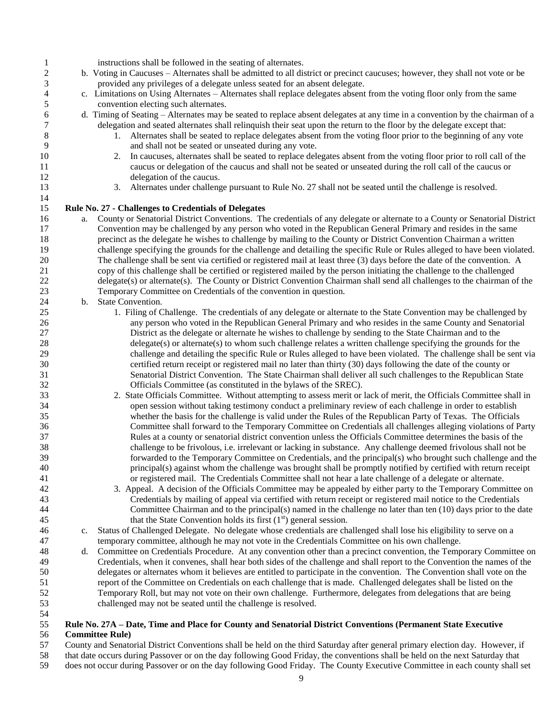| $\mathbf{1}$   |    | instructions shall be followed in the seating of alternates.                                                                   |
|----------------|----|--------------------------------------------------------------------------------------------------------------------------------|
| $\overline{c}$ |    | b. Voting in Caucuses – Alternates shall be admitted to all district or precinct caucuses; however, they shall not vote or be  |
| 3              |    | provided any privileges of a delegate unless seated for an absent delegate.                                                    |
| 4              |    | c. Limitations on Using Alternates - Alternates shall replace delegates absent from the voting floor only from the same        |
| 5              |    | convention electing such alternates.                                                                                           |
| 6              |    | d. Timing of Seating – Alternates may be seated to replace absent delegates at any time in a convention by the chairman of a   |
| 7              |    | delegation and seated alternates shall relinquish their seat upon the return to the floor by the delegate except that:         |
| $\,8\,$        |    | 1. Alternates shall be seated to replace delegates absent from the voting floor prior to the beginning of any vote             |
| 9              |    | and shall not be seated or unseated during any vote.                                                                           |
| 10             |    | 2. In caucuses, alternates shall be seated to replace delegates absent from the voting floor prior to roll call of the         |
| 11             |    | caucus or delegation of the caucus and shall not be seated or unseated during the roll call of the caucus or                   |
| 12             |    | delegation of the caucus.                                                                                                      |
| 13             |    | 3. Alternates under challenge pursuant to Rule No. 27 shall not be seated until the challenge is resolved.                     |
|                |    |                                                                                                                                |
| 14             |    |                                                                                                                                |
| 15             |    | Rule No. 27 - Challenges to Credentials of Delegates                                                                           |
| 16             | a. | County or Senatorial District Conventions. The credentials of any delegate or alternate to a County or Senatorial District     |
| 17             |    | Convention may be challenged by any person who voted in the Republican General Primary and resides in the same                 |
| 18             |    | precinct as the delegate he wishes to challenge by mailing to the County or District Convention Chairman a written             |
| 19             |    | challenge specifying the grounds for the challenge and detailing the specific Rule or Rules alleged to have been violated.     |
| 20             |    | The challenge shall be sent via certified or registered mail at least three (3) days before the date of the convention. A      |
|                |    | copy of this challenge shall be certified or registered mailed by the person initiating the challenge to the challenged        |
| 22             |    | delegate(s) or alternate(s). The County or District Convention Chairman shall send all challenges to the chairman of the       |
| 23             |    | Temporary Committee on Credentials of the convention in question.                                                              |
| 24             | b. | State Convention.                                                                                                              |
| $25\,$         |    | 1. Filing of Challenge. The credentials of any delegate or alternate to the State Convention may be challenged by              |
|                |    | any person who voted in the Republican General Primary and who resides in the same County and Senatorial                       |
|                |    | District as the delegate or alternate he wishes to challenge by sending to the State Chairman and to the                       |
| 28             |    | $\alpha$ delegate(s) or alternate(s) to whom such challenge relates a written challenge specifying the grounds for the         |
| 29             |    | challenge and detailing the specific Rule or Rules alleged to have been violated. The challenge shall be sent via              |
| 30             |    | certified return receipt or registered mail no later than thirty (30) days following the date of the county or                 |
| 31             |    | Senatorial District Convention. The State Chairman shall deliver all such challenges to the Republican State                   |
| 32             |    | Officials Committee (as constituted in the bylaws of the SREC).                                                                |
| 33             |    | 2. State Officials Committee. Without attempting to assess merit or lack of merit, the Officials Committee shall in            |
| 34             |    | open session without taking testimony conduct a preliminary review of each challenge in order to establish                     |
| 35             |    | whether the basis for the challenge is valid under the Rules of the Republican Party of Texas. The Officials                   |
| 36             |    | Committee shall forward to the Temporary Committee on Credentials all challenges alleging violations of Party                  |
| 37             |    | Rules at a county or senatorial district convention unless the Officials Committee determines the basis of the                 |
| 38             |    | challenge to be frivolous, i.e. irrelevant or lacking in substance. Any challenge deemed frivolous shall not be                |
|                |    | forwarded to the Temporary Committee on Credentials, and the principal(s) who brought such challenge and the                   |
|                |    | principal(s) against whom the challenge was brought shall be promptly notified by certified with return receipt                |
|                |    | or registered mail. The Credentials Committee shall not hear a late challenge of a delegate or alternate.                      |
|                |    | 3. Appeal. A decision of the Officials Committee may be appealed by either party to the Temporary Committee on                 |
|                |    |                                                                                                                                |
|                |    | Credentials by mailing of appeal via certified with return receipt or registered mail notice to the Credentials                |
|                |    | Committee Chairman and to the principal(s) named in the challenge no later than ten (10) days prior to the date                |
|                |    | that the State Convention holds its first $(1st)$ general session.                                                             |
|                | c. | Status of Challenged Delegate. No delegate whose credentials are challenged shall lose his eligibility to serve on a           |
|                |    | temporary committee, although he may not vote in the Credentials Committee on his own challenge.                               |
|                | d. | Committee on Credentials Procedure. At any convention other than a precinct convention, the Temporary Committee on             |
|                |    | Credentials, when it convenes, shall hear both sides of the challenge and shall report to the Convention the names of the      |
|                |    | delegates or alternates whom it believes are entitled to participate in the convention. The Convention shall vote on the       |
|                |    | report of the Committee on Credentials on each challenge that is made. Challenged delegates shall be listed on the             |
|                |    | Temporary Roll, but may not vote on their own challenge. Furthermore, delegates from delegations that are being                |
| 52             |    | challenged may not be seated until the challenge is resolved.                                                                  |
| 53<br>54       |    |                                                                                                                                |
| 55             |    | Rule No. 27A – Date, Time and Place for County and Senatorial District Conventions (Permanent State Executive                  |
| 56             |    | <b>Committee Rule</b> )                                                                                                        |
| 57             |    | County and Senatorial District Conventions shall be held on the third Saturday after general primary election day. However, if |
|                |    |                                                                                                                                |

that date occurs during Passover or on the day following Good Friday, the conventions shall be held on the next Saturday that

does not occur during Passover or on the day following Good Friday. The County Executive Committee in each county shall set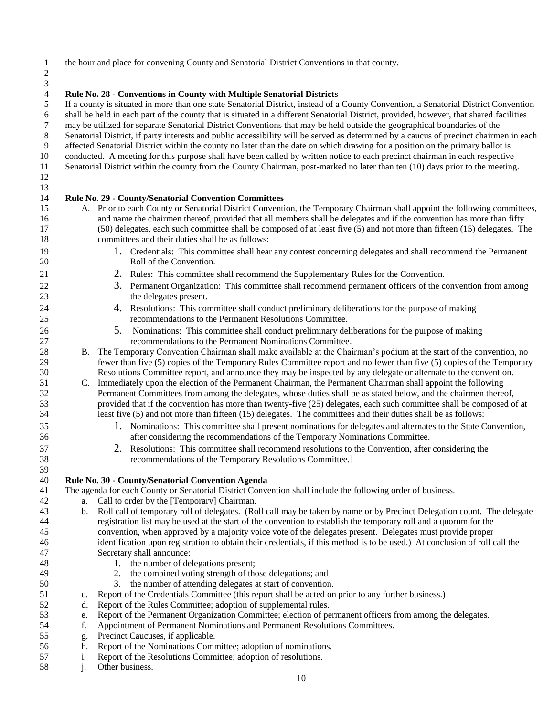the hour and place for convening County and Senatorial District Conventions in that county.

**Rule No. 28 - Conventions in County with Multiple Senatorial Districts**

 If a county is situated in more than one state Senatorial District, instead of a County Convention, a Senatorial District Convention 6 shall be held in each part of the county that is situated in a different Senatorial District, provided, however, that shared facilities may be utilized for separate Senatorial District Conventions that may be held outsid may be utilized for separate Senatorial District Conventions that may be held outside the geographical boundaries of the Senatorial District, if party interests and public accessibility will be served as determined by a caucus of precinct chairmen in each affected Senatorial District within the county no later than the date on which drawing for a position on the primary ballot is conducted. A meeting for this purpose shall have been called by written notice to each precinct chairman in each respective Senatorial District within the county from the County Chairman, post-marked no later than ten (10) days prior to the meeting. 

**Rule No. 29 - County/Senatorial Convention Committees**

 

- A. Prior to each County or Senatorial District Convention, the Temporary Chairman shall appoint the following committees, and name the chairmen thereof, provided that all members shall be delegates and if the convention has more than fifty (50) delegates, each such committee shall be composed of at least five (5) and not more than fifteen (15) delegates. The committees and their duties shall be as follows:
- 19 1. Credentials: This committee shall hear any contest concerning delegates and shall recommend the Permanent Roll of the Convention.
- 2. Rules: This committee shall recommend the Supplementary Rules for the Convention.
- 22 3. Permanent Organization: This committee shall recommend permanent officers of the convention from among the delegates present.
- 24 4. Resolutions: This committee shall conduct preliminary deliberations for the purpose of making<br>25 commentations to the Permanent Resolutions Committee. recommendations to the Permanent Resolutions Committee.
- 5. Nominations: This committee shall conduct preliminary deliberations for the purpose of making recommendations to the Permanent Nominations Committee.
- B. The Temporary Convention Chairman shall make available at the Chairman's podium at the start of the convention, no fewer than five (5) copies of the Temporary Rules Committee report and no fewer than five (5) copies of the Temporary Resolutions Committee report, and announce they may be inspected by any delegate or alternate to the convention.
- C. Immediately upon the election of the Permanent Chairman, the Permanent Chairman shall appoint the following Permanent Committees from among the delegates, whose duties shall be as stated below, and the chairmen thereof, provided that if the convention has more than twenty-five (25) delegates, each such committee shall be composed of at least five (5) and not more than fifteen (15) delegates. The committees and their duties shall be as follows:
- 1. Nominations: This committee shall present nominations for delegates and alternates to the State Convention, after considering the recommendations of the Temporary Nominations Committee.
- 2. Resolutions: This committee shall recommend resolutions to the Convention, after considering the recommendations of the Temporary Resolutions Committee.]

### **Rule No. 30 - County/Senatorial Convention Agenda**

The agenda for each County or Senatorial District Convention shall include the following order of business.

- a. Call to order by the [Temporary] Chairman.
- b. Roll call of temporary roll of delegates. (Roll call may be taken by name or by Precinct Delegation count. The delegate registration list may be used at the start of the convention to establish the temporary roll and a quorum for the convention, when approved by a majority voice vote of the delegates present. Delegates must provide proper identification upon registration to obtain their credentials, if this method is to be used.) At conclusion of roll call the Secretary shall announce:
- 1. the number of delegations present;
- 2. the combined voting strength of those delegations; and
- 3. the number of attending delegates at start of convention.
- c. Report of the Credentials Committee (this report shall be acted on prior to any further business.)
- d. Report of the Rules Committee; adoption of supplemental rules.
- e. Report of the Permanent Organization Committee; election of permanent officers from among the delegates.
- f. Appointment of Permanent Nominations and Permanent Resolutions Committees.
- g. Precinct Caucuses, if applicable.
- h. Report of the Nominations Committee; adoption of nominations.
- i. Report of the Resolutions Committee; adoption of resolutions.
- j. Other business.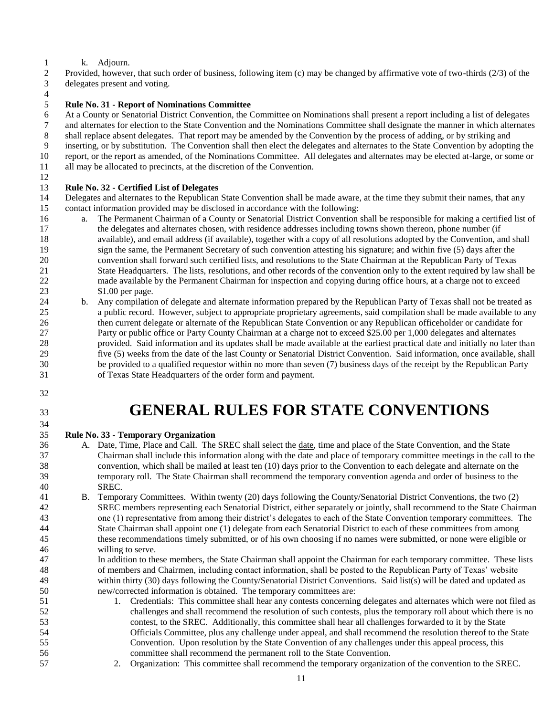### k. Adjourn.

 Provided, however, that such order of business, following item (c) may be changed by affirmative vote of two-thirds (2/3) of the delegates present and voting.

 $\frac{4}{5}$ 

# **Rule No. 31 - Report of Nominations Committee**

At a County or Senatorial District Convention, the Committee on Nominations shall present a report including a list of delegates

and alternates for election to the State Convention and the Nominations Committee shall designate the manner in which alternates

- shall replace absent delegates. That report may be amended by the Convention by the process of adding, or by striking and
- inserting, or by substitution. The Convention shall then elect the delegates and alternates to the State Convention by adopting the
- report, or the report as amended, of the Nominations Committee. All delegates and alternates may be elected at-large, or some or
- all may be allocated to precincts, at the discretion of the Convention.

### **Rule No. 32 - Certified List of Delegates**

 Delegates and alternates to the Republican State Convention shall be made aware, at the time they submit their names, that any contact information provided may be disclosed in accordance with the following:

- 16 a. The Permanent Chairman of a County or Senatorial District Convention shall be responsible for making a certified list of the delegates and alternates chosen, with residence addresses including towns shown thereon, phone number (if available), and email address (if available), together with a copy of all resolutions adopted by the Convention, and shall sign the same, the Permanent Secretary of such convention attesting his signature; and within five (5) days after the convention shall forward such certified lists, and resolutions to the State Chairman at the Republican Party of Texas State Headquarters. The lists, resolutions, and other records of the convention only to the extent required by law shall be 22 made available by the Permanent Chairman for inspection and copying during office hours, at a charge not to exceed 23 \$1.00 per page.
- b. Any compilation of delegate and alternate information prepared by the Republican Party of Texas shall not be treated as a public record. However, subject to appropriate proprietary agreements, said compilation shall be made available to any then current delegate or alternate of the Republican State Convention or any Republican officeholder or candidate for Party or public office or Party County Chairman at a charge not to exceed \$25.00 per 1,000 delegates and alternates provided. Said information and its updates shall be made available at the earliest practical date and initially no later than five (5) weeks from the date of the last County or Senatorial District Convention. Said information, once available, shall be provided to a qualified requestor within no more than seven (7) business days of the receipt by the Republican Party of Texas State Headquarters of the order form and payment.
- 

# 

# **GENERAL RULES FOR STATE CONVENTIONS**

- **Rule No. 33 - Temporary Organization**
- A. Date, Time, Place and Call. The SREC shall select the date, time and place of the State Convention, and the State Chairman shall include this information along with the date and place of temporary committee meetings in the call to the convention, which shall be mailed at least ten (10) days prior to the Convention to each delegate and alternate on the temporary roll. The State Chairman shall recommend the temporary convention agenda and order of business to the SREC.
- B. Temporary Committees. Within twenty (20) days following the County/Senatorial District Conventions, the two (2) SREC members representing each Senatorial District, either separately or jointly, shall recommend to the State Chairman one (1) representative from among their district's delegates to each of the State Convention temporary committees. The State Chairman shall appoint one (1) delegate from each Senatorial District to each of these committees from among these recommendations timely submitted, or of his own choosing if no names were submitted, or none were eligible or willing to serve.
- In addition to these members, the State Chairman shall appoint the Chairman for each temporary committee. These lists of members and Chairmen, including contact information, shall be posted to the Republican Party of Texas' website within thirty (30) days following the County/Senatorial District Conventions. Said list(s) will be dated and updated as new/corrected information is obtained. The temporary committees are:
- 1. Credentials: This committee shall hear any contests concerning delegates and alternates which were not filed as challenges and shall recommend the resolution of such contests, plus the temporary roll about which there is no contest, to the SREC. Additionally, this committee shall hear all challenges forwarded to it by the State Officials Committee, plus any challenge under appeal, and shall recommend the resolution thereof to the State Convention. Upon resolution by the State Convention of any challenges under this appeal process, this committee shall recommend the permanent roll to the State Convention.
- 2. Organization: This committee shall recommend the temporary organization of the convention to the SREC.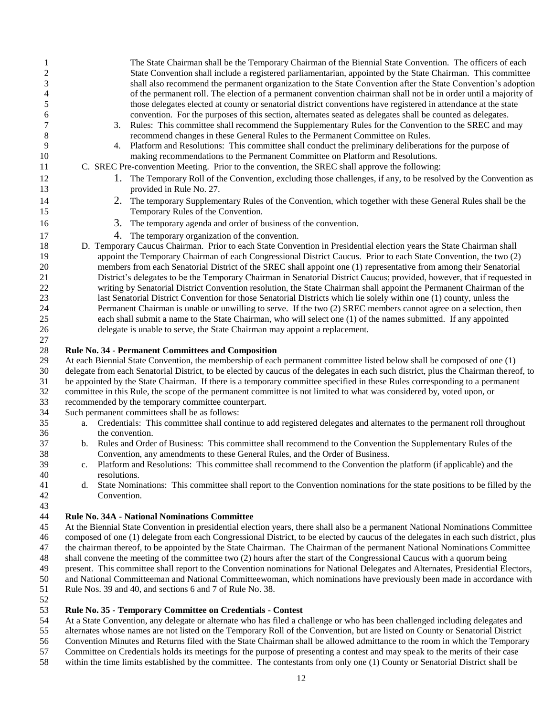| 1<br>$\overline{c}$ | The State Chairman shall be the Temporary Chairman of the Biennial State Convention. The officers of each<br>State Convention shall include a registered parliamentarian, appointed by the State Chairman. This committee |
|---------------------|---------------------------------------------------------------------------------------------------------------------------------------------------------------------------------------------------------------------------|
| 3                   | shall also recommend the permanent organization to the State Convention after the State Convention's adoption                                                                                                             |
| 4                   | of the permanent roll. The election of a permanent convention chairman shall not be in order until a majority of                                                                                                          |
| 5                   |                                                                                                                                                                                                                           |
|                     | those delegates elected at county or senatorial district conventions have registered in attendance at the state                                                                                                           |
| 6                   | convention. For the purposes of this section, alternates seated as delegates shall be counted as delegates.                                                                                                               |
|                     | 3. Rules: This committee shall recommend the Supplementary Rules for the Convention to the SREC and may                                                                                                                   |
| 8                   | recommend changes in these General Rules to the Permanent Committee on Rules.                                                                                                                                             |
| 9                   | Platform and Resolutions: This committee shall conduct the preliminary deliberations for the purpose of<br>4.                                                                                                             |
| 10                  | making recommendations to the Permanent Committee on Platform and Resolutions.                                                                                                                                            |
| 11                  | C. SREC Pre-convention Meeting. Prior to the convention, the SREC shall approve the following:                                                                                                                            |
| 12                  | 1. The Temporary Roll of the Convention, excluding those challenges, if any, to be resolved by the Convention as                                                                                                          |
| 13                  | provided in Rule No. 27.                                                                                                                                                                                                  |
| 14                  | 2. The temporary Supplementary Rules of the Convention, which together with these General Rules shall be the                                                                                                              |
| 15                  | Temporary Rules of the Convention.                                                                                                                                                                                        |
| 16                  | 3. The temporary agenda and order of business of the convention.                                                                                                                                                          |
| 17                  | 4. The temporary organization of the convention.                                                                                                                                                                          |
| 18                  | D. Temporary Caucus Chairman. Prior to each State Convention in Presidential election years the State Chairman shall                                                                                                      |
| 19                  | appoint the Temporary Chairman of each Congressional District Caucus. Prior to each State Convention, the two (2)                                                                                                         |
| 20                  | members from each Senatorial District of the SREC shall appoint one (1) representative from among their Senatorial                                                                                                        |
| 21                  | District's delegates to be the Temporary Chairman in Senatorial District Caucus; provided, however, that if requested in                                                                                                  |
| 22                  | writing by Senatorial District Convention resolution, the State Chairman shall appoint the Permanent Chairman of the                                                                                                      |
| 23                  | last Senatorial District Convention for those Senatorial Districts which lie solely within one (1) county, unless the                                                                                                     |
| 24                  | Permanent Chairman is unable or unwilling to serve. If the two (2) SREC members cannot agree on a selection, then                                                                                                         |
| 25                  |                                                                                                                                                                                                                           |
|                     | each shall submit a name to the State Chairman, who will select one (1) of the names submitted. If any appointed                                                                                                          |

delegate is unable to serve, the State Chairman may appoint a replacement.

### **Rule No. 34 - Permanent Committees and Composition**

 At each Biennial State Convention, the membership of each permanent committee listed below shall be composed of one (1) delegate from each Senatorial District, to be elected by caucus of the delegates in each such district, plus the Chairman thereof, to

- be appointed by the State Chairman. If there is a temporary committee specified in these Rules corresponding to a permanent
- committee in this Rule, the scope of the permanent committee is not limited to what was considered by, voted upon, or
- recommended by the temporary committee counterpart.
- Such permanent committees shall be as follows:
- a. Credentials: This committee shall continue to add registered delegates and alternates to the permanent roll throughout the convention.
- b. Rules and Order of Business: This committee shall recommend to the Convention the Supplementary Rules of the Convention, any amendments to these General Rules, and the Order of Business.
- c. Platform and Resolutions: This committee shall recommend to the Convention the platform (if applicable) and the resolutions.
- d. State Nominations: This committee shall report to the Convention nominations for the state positions to be filled by the Convention.

### **Rule No. 34A - National Nominations Committee**

 At the Biennial State Convention in presidential election years, there shall also be a permanent National Nominations Committee composed of one (1) delegate from each Congressional District, to be elected by caucus of the delegates in each such district, plus the chairman thereof, to be appointed by the State Chairman. The Chairman of the permanent National Nominations Committee shall convene the meeting of the committee two (2) hours after the start of the Congressional Caucus with a quorum being present. This committee shall report to the Convention nominations for National Delegates and Alternates, Presidential Electors, and National Committeeman and National Committeewoman, which nominations have previously been made in accordance with

- Rule Nos. 39 and 40, and sections 6 and 7 of Rule No. 38.
- 

### **Rule No. 35 - Temporary Committee on Credentials - Contest**

At a State Convention, any delegate or alternate who has filed a challenge or who has been challenged including delegates and

alternates whose names are not listed on the Temporary Roll of the Convention, but are listed on County or Senatorial District

Convention Minutes and Returns filed with the State Chairman shall be allowed admittance to the room in which the Temporary

- Committee on Credentials holds its meetings for the purpose of presenting a contest and may speak to the merits of their case
- within the time limits established by the committee. The contestants from only one (1) County or Senatorial District shall be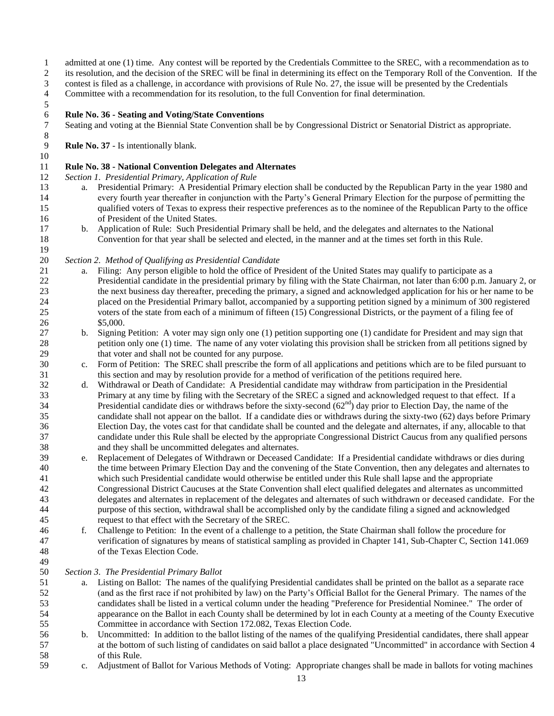- admitted at one (1) time. Any contest will be reported by the Credentials Committee to the SREC, with a recommendation as to
- its resolution, and the decision of the SREC will be final in determining its effect on the Temporary Roll of the Convention. If the
- contest is filed as a challenge, in accordance with provisions of Rule No. 27, the issue will be presented by the Credentials
- Committee with a recommendation for its resolution, to the full Convention for final determination.
- $\frac{5}{6}$

# **Rule No. 36 - Seating and Voting/State Conventions**

 Seating and voting at the Biennial State Convention shall be by Congressional District or Senatorial District as appropriate. 

**Rule No. 37** - Is intentionally blank.

### **Rule No. 38 - National Convention Delegates and Alternates**

- *Section 1. Presidential Primary, Application of Rule*
- a. Presidential Primary: A Presidential Primary election shall be conducted by the Republican Party in the year 1980 and every fourth year thereafter in conjunction with the Party's General Primary Election for the purpose of permitting the qualified voters of Texas to express their respective preferences as to the nominee of the Republican Party to the office of President of the United States.
- b. Application of Rule: Such Presidential Primary shall be held, and the delegates and alternates to the National Convention for that year shall be selected and elected, in the manner and at the times set forth in this Rule.

### *Section 2. Method of Qualifying as Presidential Candidate*

- a. Filing: Any person eligible to hold the office of President of the United States may qualify to participate as a Presidential candidate in the presidential primary by filing with the State Chairman, not later than 6:00 p.m. January 2, or the next business day thereafter, preceding the primary, a signed and acknowledged application for his or her name to be placed on the Presidential Primary ballot, accompanied by a supporting petition signed by a minimum of 300 registered voters of the state from each of a minimum of fifteen (15) Congressional Districts, or the payment of a filing fee of \$5,000.
- b. Signing Petition: A voter may sign only one (1) petition supporting one (1) candidate for President and may sign that petition only one (1) time. The name of any voter violating this provision shall be stricken from all petitions signed by that voter and shall not be counted for any purpose.
- c. Form of Petition: The SREC shall prescribe the form of all applications and petitions which are to be filed pursuant to this section and may by resolution provide for a method of verification of the petitions required here.
- d. Withdrawal or Death of Candidate: A Presidential candidate may withdraw from participation in the Presidential Primary at any time by filing with the Secretary of the SREC a signed and acknowledged request to that effect. If a Presidential candidate dies or withdraws before the sixty-second  $(62<sup>nd</sup>)$  day prior to Election Day, the name of the candidate shall not appear on the ballot. If a candidate dies or withdraws during the sixty-two (62) days before Primary Election Day, the votes cast for that candidate shall be counted and the delegate and alternates, if any, allocable to that candidate under this Rule shall be elected by the appropriate Congressional District Caucus from any qualified persons and they shall be uncommitted delegates and alternates.
- e. Replacement of Delegates of Withdrawn or Deceased Candidate: If a Presidential candidate withdraws or dies during the time between Primary Election Day and the convening of the State Convention, then any delegates and alternates to which such Presidential candidate would otherwise be entitled under this Rule shall lapse and the appropriate Congressional District Caucuses at the State Convention shall elect qualified delegates and alternates as uncommitted delegates and alternates in replacement of the delegates and alternates of such withdrawn or deceased candidate. For the purpose of this section, withdrawal shall be accomplished only by the candidate filing a signed and acknowledged request to that effect with the Secretary of the SREC.
- f. Challenge to Petition: In the event of a challenge to a petition, the State Chairman shall follow the procedure for verification of signatures by means of statistical sampling as provided in Chapter 141, Sub-Chapter C, Section 141.069 of the Texas Election Code.

### *Section 3. The Presidential Primary Ballot*

- a. Listing on Ballot: The names of the qualifying Presidential candidates shall be printed on the ballot as a separate race (and as the first race if not prohibited by law) on the Party's Official Ballot for the General Primary. The names of the candidates shall be listed in a vertical column under the heading "Preference for Presidential Nominee." The order of appearance on the Ballot in each County shall be determined by lot in each County at a meeting of the County Executive Committee in accordance with Section 172.082, Texas Election Code.
- b. Uncommitted: In addition to the ballot listing of the names of the qualifying Presidential candidates, there shall appear at the bottom of such listing of candidates on said ballot a place designated "Uncommitted" in accordance with Section 4 of this Rule.
- c. Adjustment of Ballot for Various Methods of Voting: Appropriate changes shall be made in ballots for voting machines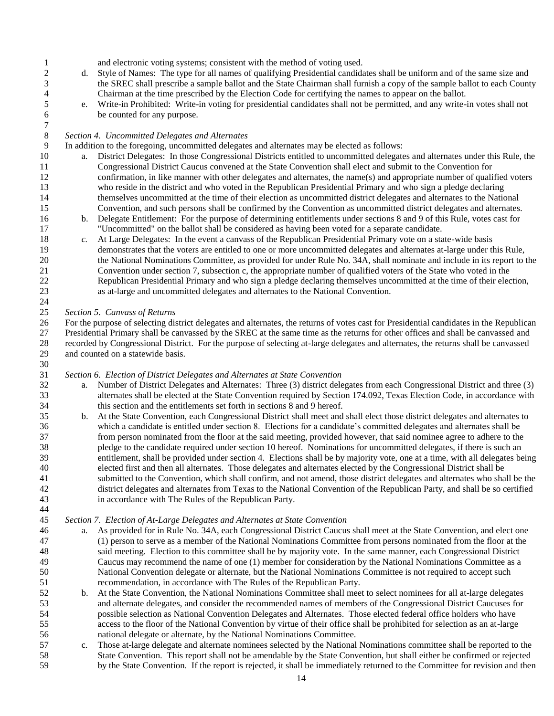and electronic voting systems; consistent with the method of voting used.

- d. Style of Names: The type for all names of qualifying Presidential candidates shall be uniform and of the same size and the SREC shall prescribe a sample ballot and the State Chairman shall furnish a copy of the sample ballot to each County
- 4 Chairman at the time prescribed by the Election Code for certifying the names to appear on the ballot.<br>5 e. Write-in Prohibited: Write-in voting for presidential candidates shall not be permitted, and any write-in e. Write-in Prohibited: Write-in voting for presidential candidates shall not be permitted, and any write-in votes shall not be counted for any purpose.

#### *Section 4. Uncommitted Delegates and Alternates*

In addition to the foregoing, uncommitted delegates and alternates may be elected as follows:

- a. District Delegates: In those Congressional Districts entitled to uncommitted delegates and alternates under this Rule, the Congressional District Caucus convened at the State Convention shall elect and submit to the Convention for confirmation, in like manner with other delegates and alternates, the name(s) and appropriate number of qualified voters who reside in the district and who voted in the Republican Presidential Primary and who sign a pledge declaring themselves uncommitted at the time of their election as uncommitted district delegates and alternates to the National Convention, and such persons shall be confirmed by the Convention as uncommitted district delegates and alternates.
- b. Delegate Entitlement: For the purpose of determining entitlements under sections 8 and 9 of this Rule, votes cast for "Uncommitted" on the ballot shall be considered as having been voted for a separate candidate.
- *c.* At Large Delegates: In the event a canvass of the Republican Presidential Primary vote on a state-wide basis demonstrates that the voters are entitled to one or more uncommitted delegates and alternates at-large under this Rule, the National Nominations Committee, as provided for under Rule No. 34A, shall nominate and include in its report to the Convention under section 7, subsection c, the appropriate number of qualified voters of the State who voted in the Republican Presidential Primary and who sign a pledge declaring themselves uncommitted at the time of their election, as at-large and uncommitted delegates and alternates to the National Convention.

*Section 5. Canvass of Returns*

 For the purpose of selecting district delegates and alternates, the returns of votes cast for Presidential candidates in the Republican Presidential Primary shall be canvassed by the SREC at the same time as the returns for other offices and shall be canvassed and recorded by Congressional District. For the purpose of selecting at-large delegates and alternates, the returns shall be canvassed and counted on a statewide basis.

#### *Section 6. Election of District Delegates and Alternates at State Convention*

- a. Number of District Delegates and Alternates: Three (3) district delegates from each Congressional District and three (3) alternates shall be elected at the State Convention required by Section 174.092, Texas Election Code, in accordance with this section and the entitlements set forth in sections 8 and 9 hereof.
- b. At the State Convention, each Congressional District shall meet and shall elect those district delegates and alternates to which a candidate is entitled under section 8. Elections for a candidate's committed delegates and alternates shall be from person nominated from the floor at the said meeting, provided however, that said nominee agree to adhere to the pledge to the candidate required under section 10 hereof. Nominations for uncommitted delegates, if there is such an entitlement, shall be provided under section 4. Elections shall be by majority vote, one at a time, with all delegates being elected first and then all alternates. Those delegates and alternates elected by the Congressional District shall be submitted to the Convention, which shall confirm, and not amend, those district delegates and alternates who shall be the district delegates and alternates from Texas to the National Convention of the Republican Party, and shall be so certified in accordance with The Rules of the Republican Party.

#### *Section 7. Election of At-Large Delegates and Alternates at State Convention*

- a. As provided for in Rule No. 34A, each Congressional District Caucus shall meet at the State Convention, and elect one (1) person to serve as a member of the National Nominations Committee from persons nominated from the floor at the said meeting. Election to this committee shall be by majority vote. In the same manner, each Congressional District Caucus may recommend the name of one (1) member for consideration by the National Nominations Committee as a National Convention delegate or alternate, but the National Nominations Committee is not required to accept such recommendation, in accordance with The Rules of the Republican Party.
- b. At the State Convention, the National Nominations Committee shall meet to select nominees for all at-large delegates and alternate delegates, and consider the recommended names of members of the Congressional District Caucuses for possible selection as National Convention Delegates and Alternates. Those elected federal office holders who have access to the floor of the National Convention by virtue of their office shall be prohibited for selection as an at-large national delegate or alternate, by the National Nominations Committee.
- c. Those at-large delegate and alternate nominees selected by the National Nominations committee shall be reported to the State Convention. This report shall not be amendable by the State Convention, but shall either be confirmed or rejected by the State Convention. If the report is rejected, it shall be immediately returned to the Committee for revision and then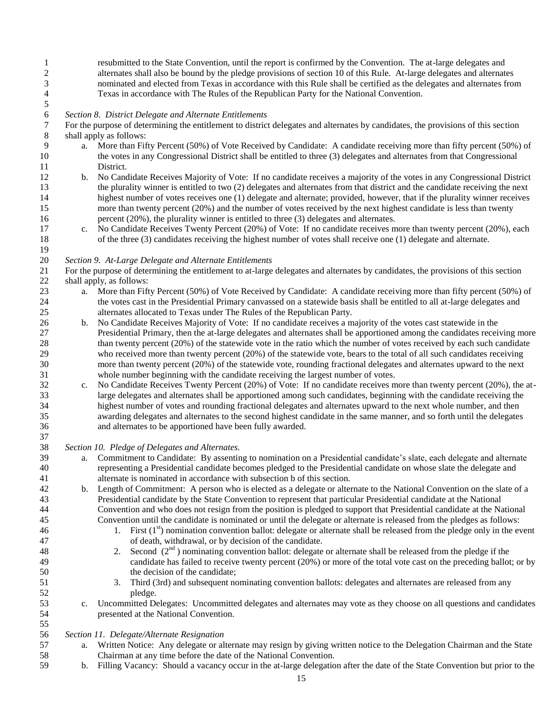resubmitted to the State Convention, until the report is confirmed by the Convention. The at-large delegates and alternates shall also be bound by the pledge provisions of section 10 of this Rule. At-large delegates and alternates nominated and elected from Texas in accordance with this Rule shall be certified as the delegates and alternates from Texas in accordance with The Rules of the Republican Party for the National Convention.

# *Section 8. District Delegate and Alternate Entitlements*

 For the purpose of determining the entitlement to district delegates and alternates by candidates, the provisions of this section shall apply as follows:

- a. More than Fifty Percent (50%) of Vote Received by Candidate: A candidate receiving more than fifty percent (50%) of the votes in any Congressional District shall be entitled to three (3) delegates and alternates from that Congressional District.
- b. No Candidate Receives Majority of Vote: If no candidate receives a majority of the votes in any Congressional District the plurality winner is entitled to two (2) delegates and alternates from that district and the candidate receiving the next highest number of votes receives one (1) delegate and alternate; provided, however, that if the plurality winner receives more than twenty percent (20%) and the number of votes received by the next highest candidate is less than twenty percent (20%), the plurality winner is entitled to three (3) delegates and alternates.
- c. No Candidate Receives Twenty Percent (20%) of Vote: If no candidate receives more than twenty percent (20%), each of the three (3) candidates receiving the highest number of votes shall receive one (1) delegate and alternate.

#### *Section 9. At-Large Delegate and Alternate Entitlements*

 For the purpose of determining the entitlement to at-large delegates and alternates by candidates, the provisions of this section shall apply, as follows:

- 23 a. More than Fifty Percent (50%) of Vote Received by Candidate: A candidate receiving more than fifty percent (50%) of the votes cast in the Presidential Primary canvassed on a statewide basis shall be entitled to all at-large delegates and alternates allocated to Texas under The Rules of the Republican Party.
- b. No Candidate Receives Majority of Vote: If no candidate receives a majority of the votes cast statewide in the Presidential Primary, then the at-large delegates and alternates shall be apportioned among the candidates receiving more 28 than twenty percent (20%) of the statewide vote in the ratio which the number of votes received by each such candidate who received more than twenty percent (20%) of the statewide vote, bears to the total of all such candidates receiving more than twenty percent (20%) of the statewide vote, rounding fractional delegates and alternates upward to the next whole number beginning with the candidate receiving the largest number of votes.
- c. No Candidate Receives Twenty Percent (20%) of Vote: If no candidate receives more than twenty percent (20%), the at- large delegates and alternates shall be apportioned among such candidates, beginning with the candidate receiving the highest number of votes and rounding fractional delegates and alternates upward to the next whole number, and then awarding delegates and alternates to the second highest candidate in the same manner, and so forth until the delegates and alternates to be apportioned have been fully awarded.
- *Section 10. Pledge of Delegates and Alternates.*
- a. Commitment to Candidate: By assenting to nomination on a Presidential candidate's slate, each delegate and alternate representing a Presidential candidate becomes pledged to the Presidential candidate on whose slate the delegate and alternate is nominated in accordance with subsection b of this section.
- b. Length of Commitment: A person who is elected as a delegate or alternate to the National Convention on the slate of a Presidential candidate by the State Convention to represent that particular Presidential candidate at the National Convention and who does not resign from the position is pledged to support that Presidential candidate at the National Convention until the candidate is nominated or until the delegate or alternate is released from the pledges as follows:
- 1. First  $(1<sup>st</sup>)$  nomination convention ballot: delegate or alternate shall be released from the pledge only in the event of death, withdrawal, or by decision of the candidate.
- 2. Second  $(2<sup>nd</sup>)$  nominating convention ballot: delegate or alternate shall be released from the pledge if the candidate has failed to receive twenty percent (20%) or more of the total vote cast on the preceding ballot; or by the decision of the candidate;
- 3. Third (3rd) and subsequent nominating convention ballots: delegates and alternates are released from any pledge.
- c. Uncommitted Delegates:Uncommitted delegates and alternates may vote as they choose on all questions and candidates presented at the National Convention.

### *Section 11. Delegate/Alternate Resignation*

- 57 a. Written Notice: Any delegate or alternate may resign by giving written notice to the Delegation Chairman and the State<br>58 Chairman at any time before the date of the National Convention. Chairman at any time before the date of the National Convention.
- b. Filling Vacancy: Should a vacancy occur in the at-large delegation after the date of the State Convention but prior to the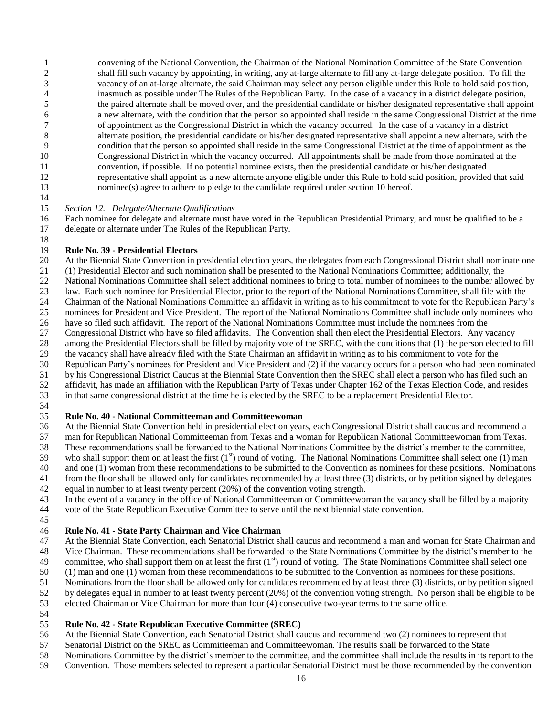convening of the National Convention, the Chairman of the National Nomination Committee of the State Convention shall fill such vacancy by appointing, in writing, any at-large alternate to fill any at-large delegate position. To fill the vacancy of an at-large alternate, the said Chairman may select any person eligible under this Rule to hold said position, 4 inasmuch as possible under The Rules of the Republican Party. In the case of a vacancy in a district delegate position,<br>5 the paired alternate shall be moved over, and the presidential candidate or his/her designated rep the paired alternate shall be moved over, and the presidential candidate or his/her designated representative shall appoint 6 a new alternate, with the condition that the person so appointed shall reside in the same Congressional District at the time<br>6 of appointment as the Congressional District in which the vacancy occurred. In the case of a of appointment as the Congressional District in which the vacancy occurred. In the case of a vacancy in a district alternate position, the presidential candidate or his/her designated representative shall appoint a new alternate, with the condition that the person so appointed shall reside in the same Congressional District at the time of appointment as the Congressional District in which the vacancy occurred. All appointments shall be made from those nominated at the convention, if possible. If no potential nominee exists, then the presidential candidate or his/her designated representative shall appoint as a new alternate anyone eligible under this Rule to hold said position, provided that said 13 nominee(s) agree to adhere to pledge to the candidate required under section 10 hereof.

*Section 12. Delegate/Alternate Qualifications*

 Each nominee for delegate and alternate must have voted in the Republican Presidential Primary, and must be qualified to be a delegate or alternate under The Rules of the Republican Party.

### **Rule No. 39 - Presidential Electors**

 At the Biennial State Convention in presidential election years, the delegates from each Congressional District shall nominate one (1) Presidential Elector and such nomination shall be presented to the National Nominations Committee; additionally, the National Nominations Committee shall select additional nominees to bring to total number of nominees to the number allowed by law. Each such nominee for Presidential Elector, prior to the report of the National Nominations Committee, shall file with the Chairman of the National Nominations Committee an affidavit in writing as to his commitment to vote for the Republican Party's nominees for President and Vice President. The report of the National Nominations Committee shall include only nominees who have so filed such affidavit. The report of the National Nominations Committee must include the nominees from the Congressional District who have so filed affidavits. The Convention shall then elect the Presidential Electors. Any vacancy among the Presidential Electors shall be filled by majority vote of the SREC, with the conditions that (1) the person elected to fill the vacancy shall have already filed with the State Chairman an affidavit in writing as to his commitment to vote for the Republican Party's nominees for President and Vice President and (2) if the vacancy occurs for a person who had been nominated by his Congressional District Caucus at the Biennial State Convention then the SREC shall elect a person who has filed such an affidavit, has made an affiliation with the Republican Party of Texas under Chapter 162 of the Texas Election Code, and resides

- in that same congressional district at the time he is elected by the SREC to be a replacement Presidential Elector.
- 

### **Rule No. 40 - National Committeeman and Committeewoman**

At the Biennial State Convention held in presidential election years, each Congressional District shall caucus and recommend a

- man for Republican National Committeeman from Texas and a woman for Republican National Committeewoman from Texas. These recommendations shall be forwarded to the National Nominations Committee by the district's member to the committee,
- 39 who shall support them on at least the first  $(1^s)$  round of voting. The National Nominations Committee shall select one  $(1)$  man
- and one (1) woman from these recommendations to be submitted to the Convention as nominees for these positions. Nominations
- from the floor shall be allowed only for candidates recommended by at least three (3) districts, or by petition signed by delegates
- equal in number to at least twenty percent (20%) of the convention voting strength.
- In the event of a vacancy in the office of National Committeeman or Committeewoman the vacancy shall be filled by a majority vote of the State Republican Executive Committee to serve until the next biennial state convention.
- 

### **Rule No. 41 - State Party Chairman and Vice Chairman**

At the Biennial State Convention, each Senatorial District shall caucus and recommend a man and woman for State Chairman and

- Vice Chairman. These recommendations shall be forwarded to the State Nominations Committee by the district's member to the 49 committee, who shall support them on at least the first  $(1<sup>st</sup>)$  round of voting. The State Nominations Committee shall select one
- (1) man and one (1) woman from these recommendations to be submitted to the Convention as nominees for these positions.
- Nominations from the floor shall be allowed only for candidates recommended by at least three (3) districts, or by petition signed
- by delegates equal in number to at least twenty percent (20%) of the convention voting strength. No person shall be eligible to be
- elected Chairman or Vice Chairman for more than four (4) consecutive two-year terms to the same office.
- 

### **Rule No. 42 - State Republican Executive Committee (SREC)**

- At the Biennial State Convention, each Senatorial District shall caucus and recommend two (2) nominees to represent that
- Senatorial District on the SREC as Committeeman and Committeewoman. The results shall be forwarded to the State
- Nominations Committee by the district's member to the committee, and the committee shall include the results in its report to the
- Convention. Those members selected to represent a particular Senatorial District must be those recommended by the convention